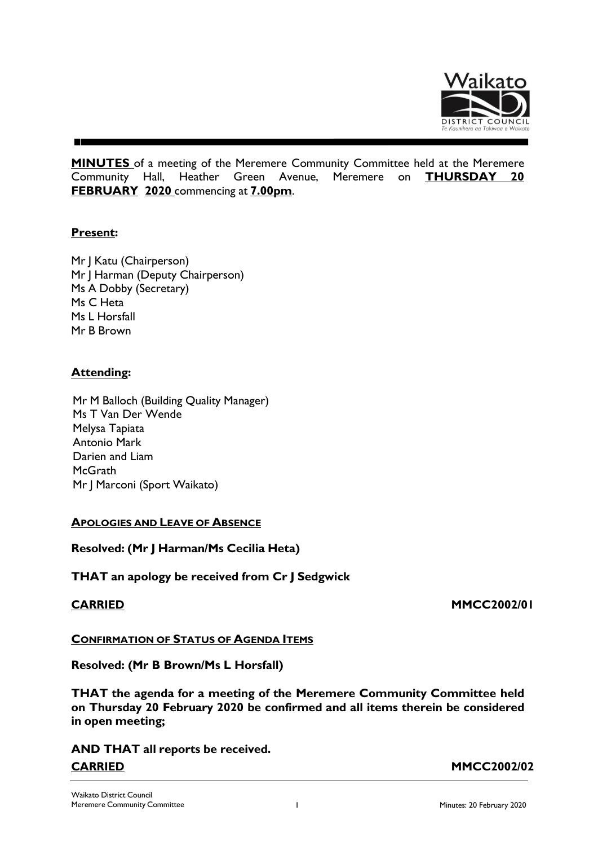

**MINUTES** of a meeting of the Meremere Community Committee held at the Meremere Community Hall, Heather Green Avenue, Meremere on **THURSDAY 20 FEBRUARY 2020** commencing at **7.00pm**.

# **Present:**

Mr J Katu (Chairperson) Mr J Harman (Deputy Chairperson) Ms A Dobby (Secretary) Ms C Heta Ms L Horsfall Mr B Brown

# **Attending:**

Mr M Balloch (Building Quality Manager) Ms T Van Der Wende Melysa Tapiata Antonio Mark Darien and Liam **McGrath** Mr | Marconi (Sport Waikato)

# **APOLOGIES AND LEAVE OF ABSENCE**

**Resolved: (Mr J Harman/Ms Cecilia Heta)**

**THAT an apology be received from Cr J Sedgwick**

### **CARRIED MMCC2002/01**

**CONFIRMATION OF STATUS OF AGENDA ITEMS**

**Resolved: (Mr B Brown/Ms L Horsfall)**

**THAT the agenda for a meeting of the Meremere Community Committee held on Thursday 20 February 2020 be confirmed and all items therein be considered in open meeting;**

**AND THAT all reports be received. CARRIED MMCC2002/02**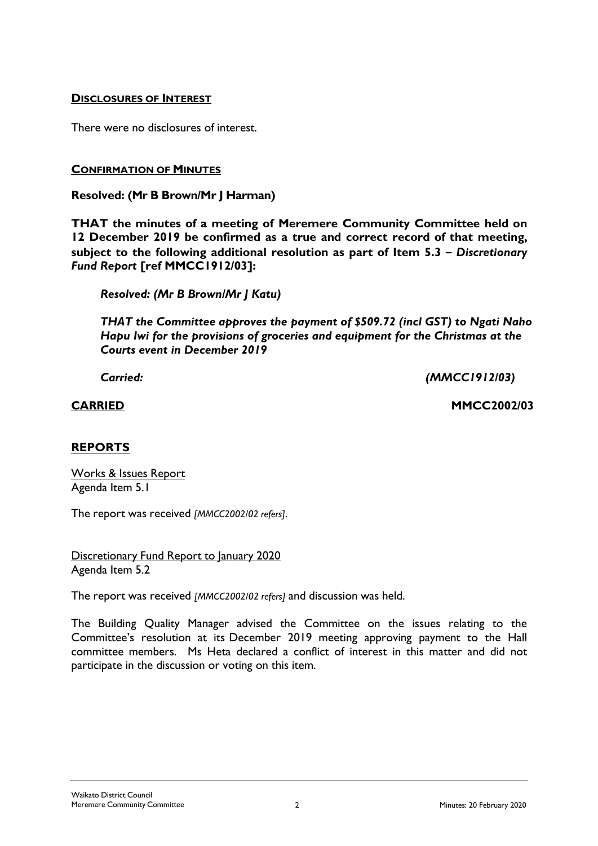## **DISCLOSURES OF INTEREST**

There were no disclosures of interest.

### **CONFIRMATION OF MINUTES**

### **Resolved: (Mr B Brown/Mr J Harman)**

**THAT the minutes of a meeting of Meremere Community Committee held on 12 December 2019 be confirmed as a true and correct record of that meeting, subject to the following additional resolution as part of Item 5.3 –** *Discretionary Fund Report* **[ref MMCC1912/03]:**

*Resolved: (Mr B Brown/Mr J Katu)*

*THAT the Committee approves the payment of \$509.72 (incl GST) to Ngati Naho Hapu Iwi for the provisions of groceries and equipment for the Christmas at the Courts event in December 2019*

*Carried: (MMCC1912/03)*

**CARRIED MMCC2002/03**

# **REPORTS**

Works & Issues Report Agenda Item 5.1

The report was received *[MMCC2002/02 refers]*.

Discretionary Fund Report to January 2020 Agenda Item 5.2

The report was received *[MMCC2002/02 refers]* and discussion was held.

The Building Quality Manager advised the Committee on the issues relating to the Committee's resolution at its December 2019 meeting approving payment to the Hall committee members. Ms Heta declared a conflict of interest in this matter and did not participate in the discussion or voting on this item.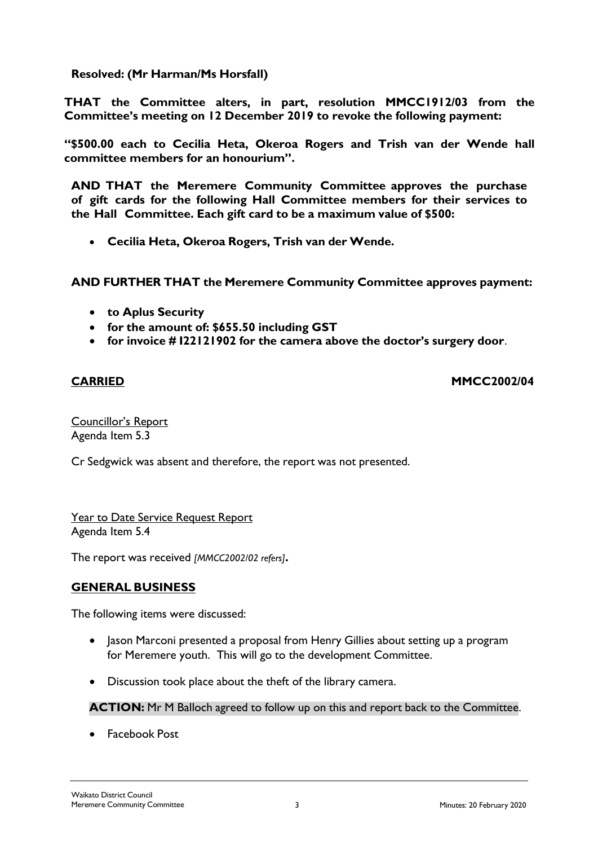**Resolved: (Mr Harman/Ms Horsfall)**

**THAT the Committee alters, in part, resolution MMCC1912/03 from the Committee's meeting on 12 December 2019 to revoke the following payment:**

**"\$500.00 each to Cecilia Heta, Okeroa Rogers and Trish van der Wende hall committee members for an honourium".**

**AND THAT the Meremere Community Committee approves the purchase of gift cards for the following Hall Committee members for their services to the Hall Committee. Each gift card to be a maximum value of \$500:**

• **Cecilia Heta, Okeroa Rogers, Trish van der Wende.**

**AND FURTHER THAT the Meremere Community Committee approves payment:**

- **to Aplus Security**
- **for the amount of: \$655.50 including GST**
- **for invoice # I22121902 for the camera above the doctor's surgery door**.

**CARRIED MMCC2002/04**

Councillor's Report Agenda Item 5.3

Cr Sedgwick was absent and therefore, the report was not presented.

Year to Date Service Request Report Agenda Item 5.4

The report was received *[MMCC2002/02 refers]***.**

# **GENERAL BUSINESS**

The following items were discussed:

- Jason Marconi presented a proposal from Henry Gillies about setting up a program for Meremere youth. This will go to the development Committee.
- Discussion took place about the theft of the library camera.

# **ACTION:** Mr M Balloch agreed to follow up on this and report back to the Committee.

• Facebook Post